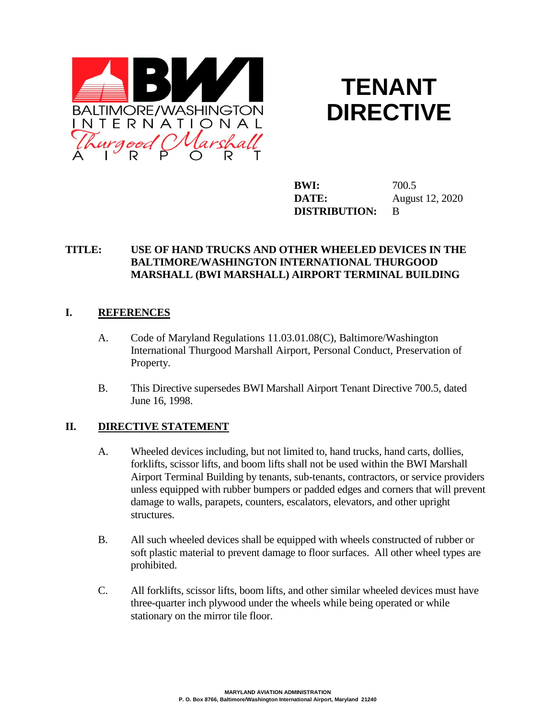



**BWI:** 700.5 **DATE:** August 12, 2020 **DISTRIBUTION:** B

# **TITLE: USE OF HAND TRUCKS AND OTHER WHEELED DEVICES IN THE BALTIMORE/WASHINGTON INTERNATIONAL THURGOOD MARSHALL (BWI MARSHALL) AIRPORT TERMINAL BUILDING**

## **I. REFERENCES**

- A. Code of Maryland Regulations 11.03.01.08(C), Baltimore/Washington International Thurgood Marshall Airport, Personal Conduct, Preservation of Property.
- B. This Directive supersedes BWI Marshall Airport Tenant Directive 700.5, dated June 16, 1998.

#### **II. DIRECTIVE STATEMENT**

- A. Wheeled devices including, but not limited to, hand trucks, hand carts, dollies, forklifts, scissor lifts, and boom lifts shall not be used within the BWI Marshall Airport Terminal Building by tenants, sub-tenants, contractors, or service providers unless equipped with rubber bumpers or padded edges and corners that will prevent damage to walls, parapets, counters, escalators, elevators, and other upright structures.
- B. All such wheeled devices shall be equipped with wheels constructed of rubber or soft plastic material to prevent damage to floor surfaces. All other wheel types are prohibited.
- C. All forklifts, scissor lifts, boom lifts, and other similar wheeled devices must have three-quarter inch plywood under the wheels while being operated or while stationary on the mirror tile floor.